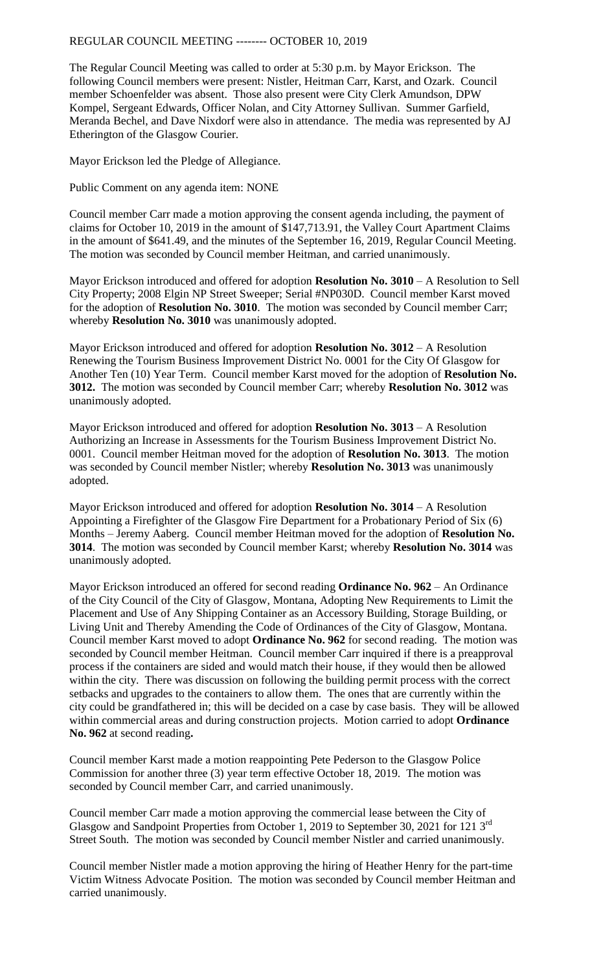## REGULAR COUNCIL MEETING -------- OCTOBER 10, 2019

The Regular Council Meeting was called to order at 5:30 p.m. by Mayor Erickson. The following Council members were present: Nistler, Heitman Carr, Karst, and Ozark. Council member Schoenfelder was absent. Those also present were City Clerk Amundson, DPW Kompel, Sergeant Edwards, Officer Nolan, and City Attorney Sullivan. Summer Garfield, Meranda Bechel, and Dave Nixdorf were also in attendance. The media was represented by AJ Etherington of the Glasgow Courier.

Mayor Erickson led the Pledge of Allegiance.

Public Comment on any agenda item: NONE

Council member Carr made a motion approving the consent agenda including, the payment of claims for October 10, 2019 in the amount of \$147,713.91, the Valley Court Apartment Claims in the amount of \$641.49, and the minutes of the September 16, 2019, Regular Council Meeting. The motion was seconded by Council member Heitman, and carried unanimously.

Mayor Erickson introduced and offered for adoption **Resolution No. 3010** – A Resolution to Sell City Property; 2008 Elgin NP Street Sweeper; Serial #NP030D. Council member Karst moved for the adoption of **Resolution No. 3010**. The motion was seconded by Council member Carr; whereby **Resolution No. 3010** was unanimously adopted.

Mayor Erickson introduced and offered for adoption **Resolution No. 3012** – A Resolution Renewing the Tourism Business Improvement District No. 0001 for the City Of Glasgow for Another Ten (10) Year Term. Council member Karst moved for the adoption of **Resolution No. 3012.** The motion was seconded by Council member Carr; whereby **Resolution No. 3012** was unanimously adopted.

Mayor Erickson introduced and offered for adoption **Resolution No. 3013** – A Resolution Authorizing an Increase in Assessments for the Tourism Business Improvement District No. 0001. Council member Heitman moved for the adoption of **Resolution No. 3013**. The motion was seconded by Council member Nistler; whereby **Resolution No. 3013** was unanimously adopted.

Mayor Erickson introduced and offered for adoption **Resolution No. 3014** – A Resolution Appointing a Firefighter of the Glasgow Fire Department for a Probationary Period of Six (6) Months – Jeremy Aaberg. Council member Heitman moved for the adoption of **Resolution No. 3014**. The motion was seconded by Council member Karst; whereby **Resolution No. 3014** was unanimously adopted.

Mayor Erickson introduced an offered for second reading **Ordinance No. 962** – An Ordinance of the City Council of the City of Glasgow, Montana, Adopting New Requirements to Limit the Placement and Use of Any Shipping Container as an Accessory Building, Storage Building, or Living Unit and Thereby Amending the Code of Ordinances of the City of Glasgow, Montana. Council member Karst moved to adopt **Ordinance No. 962** for second reading. The motion was seconded by Council member Heitman. Council member Carr inquired if there is a preapproval process if the containers are sided and would match their house, if they would then be allowed within the city. There was discussion on following the building permit process with the correct setbacks and upgrades to the containers to allow them. The ones that are currently within the city could be grandfathered in; this will be decided on a case by case basis. They will be allowed within commercial areas and during construction projects. Motion carried to adopt **Ordinance No. 962** at second reading**.** 

Council member Karst made a motion reappointing Pete Pederson to the Glasgow Police Commission for another three (3) year term effective October 18, 2019. The motion was seconded by Council member Carr, and carried unanimously.

Council member Carr made a motion approving the commercial lease between the City of Glasgow and Sandpoint Properties from October 1, 2019 to September 30, 2021 for 121 3rd Street South. The motion was seconded by Council member Nistler and carried unanimously.

Council member Nistler made a motion approving the hiring of Heather Henry for the part-time Victim Witness Advocate Position. The motion was seconded by Council member Heitman and carried unanimously.